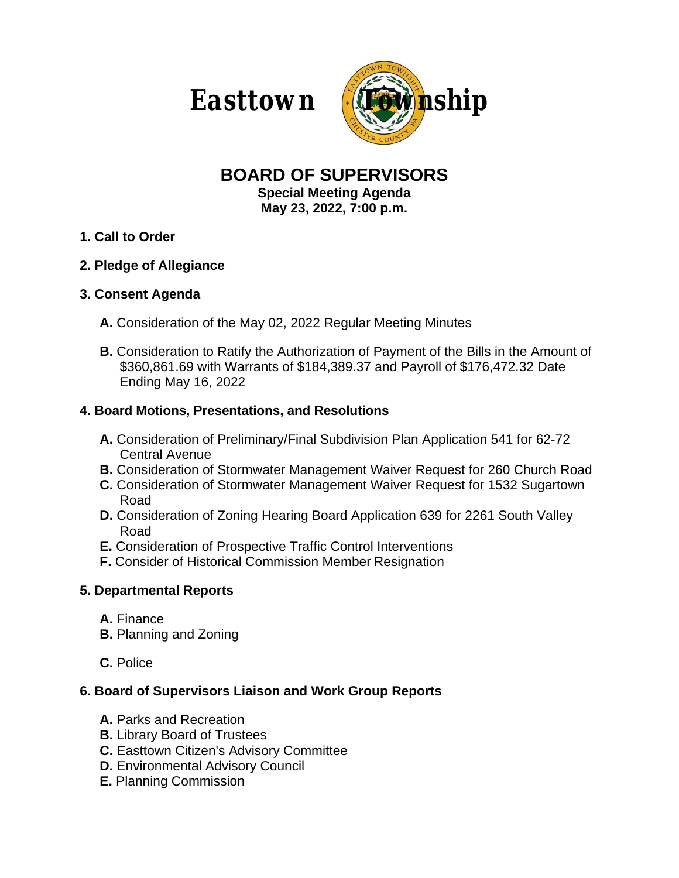

# **BOARD OF SUPERVISORS**

**Special Meeting Agenda May 23, 2022, 7:00 p.m.**

- **1. Call to Order**
- **2. Pledge of Allegiance**

#### **3. Consent Agenda**

- **A.** Consideration of the May 02, 2022 Regular Meeting Minutes
- **B.** Consideration to Ratify the Authorization of Payment of the Bills in the Amount of \$360,861.69 with Warrants of \$184,389.37 and Payroll of \$176,472.32 Date Ending May 16, 2022

## **4. Board Motions, Presentations, and Resolutions**

- **A.** Consideration of Preliminary/Final Subdivision Plan Application 541 for 62-72 Central Avenue
- **B.** Consideration of Stormwater Management Waiver Request for 260 Church Road
- **C.** Consideration of Stormwater Management Waiver Request for 1532 Sugartown Road
- **D.** Consideration of Zoning Hearing Board Application 639 for 2261 South Valley Road
- **E.** Consideration of Prospective Traffic Control Interventions
- **F.** Consider of Historical Commission Member Resignation

## **5. Departmental Reports**

- **A.** Finance
- **B.** Planning and Zoning
- **C.** Police

## **6. Board of Supervisors Liaison and Work Group Reports**

- **A.** Parks and Recreation
- **B.** Library Board of Trustees
- **C.** Easttown Citizen's Advisory Committee
- **D.** Environmental Advisory Council
- **E.** Planning Commission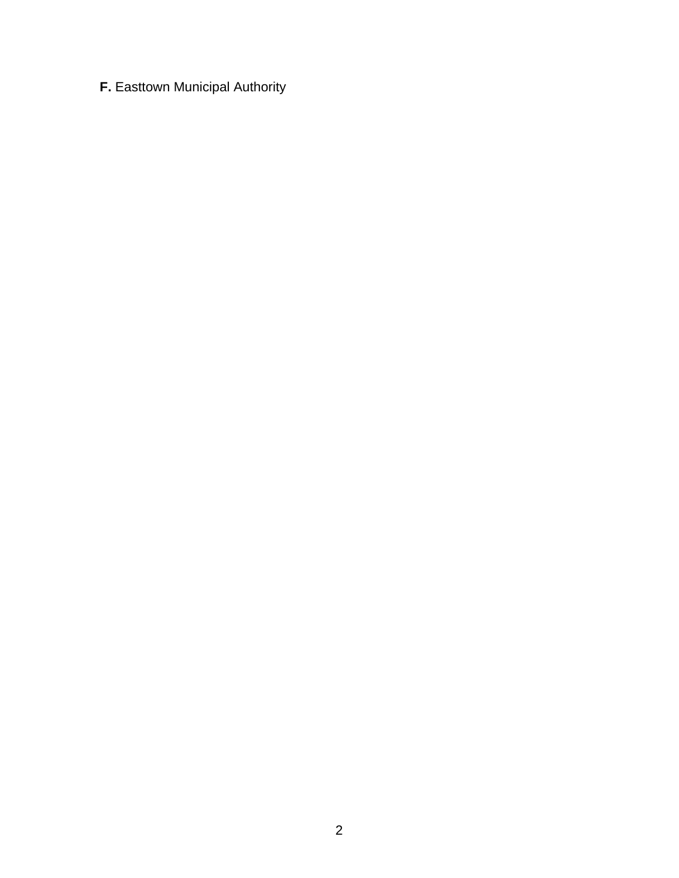**F.** Easttown Municipal Authority